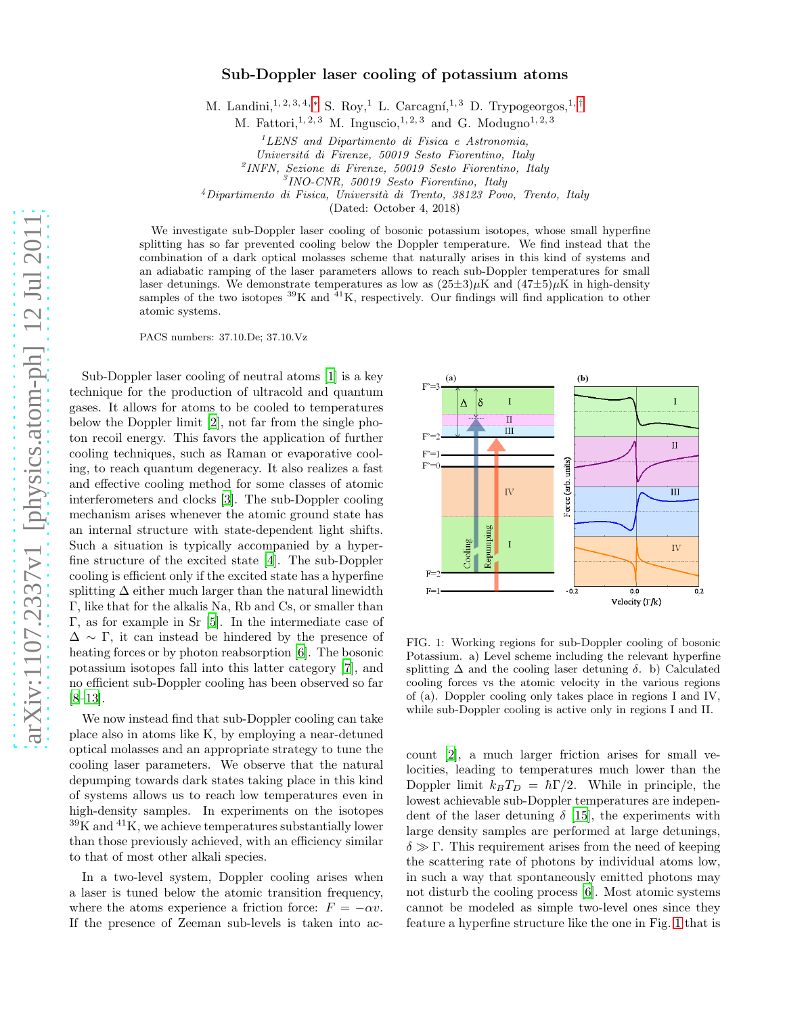# Sub-Doppler laser cooling of potassium atoms

M. Landini,<sup>1, 2, 3, 4, \*</sup> S. Roy,<sup>1</sup> L. Carcagní,<sup>1, 3</sup> D. Trypogeorgos,<sup>1,[†](#page-6-1)</sup>

M. Fattori,<sup>1, 2, 3</sup> M. Inguscio,<sup>1, 2, 3</sup> and G. Modugno<sup>1, 2, 3</sup>

 ${}^{1}$ LENS and Dipartimento di Fisica e Astronomia,

Universitá di Firenze, 50019 Sesto Fiorentino, Italy

2 INFN, Sezione di Firenze, 50019 Sesto Fiorentino, Italy

 $4$ Dipartimento di Fisica, Università di Trento, 38123 Povo, Trento, Italy

(Dated: October 4, 2018)

We investigate sub-Doppler laser cooling of bosonic potassium isotopes, whose small hyperfine splitting has so far prevented cooling below the Doppler temperature. We find instead that the combination of a dark optical molasses scheme that naturally arises in this kind of systems and an adiabatic ramping of the laser parameters allows to reach sub-Doppler temperatures for small laser detunings. We demonstrate temperatures as low as  $(25\pm3)\mu$ K and  $(47\pm5)\mu$ K in high-density samples of the two isotopes  ${}^{39}K$  and  ${}^{41}K$ , respectively. Our findings will find application to other atomic systems.

PACS numbers: 37.10.De; 37.10.Vz

Sub-Doppler laser cooling of neutral atoms [\[1\]](#page-3-0) is a key technique for the production of ultracold and quantum gases. It allows for atoms to be cooled to temperatures below the Doppler limit [\[2](#page-3-1)], not far from the single photon recoil energy. This favors the application of further cooling techniques, such as Raman or evaporative cooling, to reach quantum degeneracy. It also realizes a fast and effective cooling method for some classes of atomic interferometers and clocks [\[3\]](#page-3-2). The sub-Doppler cooling mechanism arises whenever the atomic ground state has an internal structure with state-dependent light shifts. Such a situation is typically accompanied by a hyperfine structure of the excited state [\[4](#page-3-3)]. The sub-Doppler cooling is efficient only if the excited state has a hyperfine splitting  $\Delta$  either much larger than the natural linewidth Γ, like that for the alkalis Na, Rb and Cs, or smaller than Γ, as for example in Sr [\[5\]](#page-3-4). In the intermediate case of  $\Delta \sim \Gamma$ , it can instead be hindered by the presence of heating forces or by photon reabsorption [\[6](#page-3-5)]. The bosonic potassium isotopes fall into this latter category [\[7\]](#page-3-6), and no efficient sub-Doppler cooling has been observed so far [\[8](#page-3-7)[–13\]](#page-3-8).

We now instead find that sub-Doppler cooling can take place also in atoms like K, by employing a near-detuned optical molasses and an appropriate strategy to tune the cooling laser parameters. We observe that the natural depumping towards dark states taking place in this kind of systems allows us to reach low temperatures even in high-density samples. In experiments on the isotopes  $39K$  and  $41K$ , we achieve temperatures substantially lower than those previously achieved, with an efficiency similar to that of most other alkali species.

In a two-level system, Doppler cooling arises when a laser is tuned below the atomic transition frequency, where the atoms experience a friction force:  $F = -\alpha v$ . If the presence of Zeeman sub-levels is taken into ac-



<span id="page-0-0"></span>FIG. 1: Working regions for sub-Doppler cooling of bosonic Potassium. a) Level scheme including the relevant hyperfine splitting  $\Delta$  and the cooling laser detuning  $\delta$ . b) Calculated cooling forces vs the atomic velocity in the various regions of (a). Doppler cooling only takes place in regions I and IV, while sub-Doppler cooling is active only in regions I and II.

count [\[2\]](#page-6-2), a much larger friction arises for small velocities, leading to temperatures much lower than the Doppler limit  $k_B T_D = \hbar \Gamma/2$ . While in principle, the lowest achievable sub-Doppler temperatures are independent of the laser detuning  $\delta$  [\[15\]](#page-3-9), the experiments with large density samples are performed at large detunings, δ ≫ Γ. This requirement arises from the need of keeping the scattering rate of photons by individual atoms low, in such a way that spontaneously emitted photons may not disturb the cooling process [\[6](#page-3-5)]. Most atomic systems cannot be modeled as simple two-level ones since they feature a hyperfine structure like the one in Fig. [1](#page-0-0) that is

<sup>3</sup> INO-CNR, 50019 Sesto Fiorentino, Italy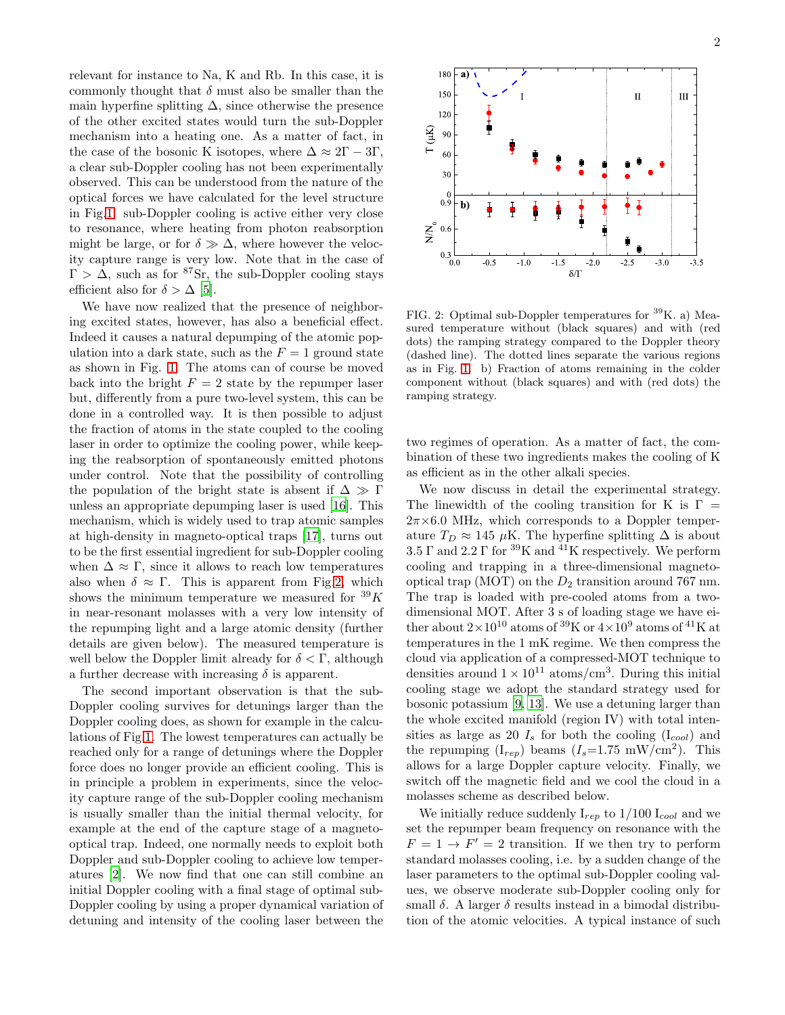relevant for instance to Na, K and Rb. In this case, it is commonly thought that  $\delta$  must also be smaller than the main hyperfine splitting  $\Delta$ , since otherwise the presence of the other excited states would turn the sub-Doppler mechanism into a heating one. As a matter of fact, in the case of the bosonic K isotopes, where  $\Delta \approx 2\Gamma - 3\Gamma$ , a clear sub-Doppler cooling has not been experimentally observed. This can be understood from the nature of the optical forces we have calculated for the level structure in Fig[.1:](#page-0-0) sub-Doppler cooling is active either very close to resonance, where heating from photon reabsorption might be large, or for  $\delta \gg \Delta$ , where however the velocity capture range is very low. Note that in the case of  $\Gamma > \Delta$ , such as for <sup>87</sup>Sr, the sub-Doppler cooling stays efficient also for  $\delta > \Delta$  [\[5\]](#page-3-4).

We have now realized that the presence of neighboring excited states, however, has also a beneficial effect. Indeed it causes a natural depumping of the atomic population into a dark state, such as the  $F = 1$  ground state as shown in Fig. [1.](#page-0-0) The atoms can of course be moved back into the bright  $F = 2$  state by the repumper laser but, differently from a pure two-level system, this can be done in a controlled way. It is then possible to adjust the fraction of atoms in the state coupled to the cooling laser in order to optimize the cooling power, while keeping the reabsorption of spontaneously emitted photons under control. Note that the possibility of controlling the population of the bright state is absent if  $\Delta \gg \Gamma$ unless an appropriate depumping laser is used [\[16\]](#page-3-10). This mechanism, which is widely used to trap atomic samples at high-density in magneto-optical traps [17], turns out to be the first essential ingredient for sub-Doppler cooling when  $\Delta \approx \Gamma$ , since it allows to reach low temperatures also when  $\delta \approx \Gamma$ . This is apparent from Fig[.2,](#page-1-0) which shows the minimum temperature we measured for  $39K$ in near-resonant molasses with a very low intensity of the repumping light and a large atomic density (further details are given below). The measured temperature is well below the Doppler limit already for  $\delta < \Gamma$ , although a further decrease with increasing  $\delta$  is apparent.

The second important observation is that the sub-Doppler cooling survives for detunings larger than the Doppler cooling does, as shown for example in the calculations of Fig[.1.](#page-0-0) The lowest temperatures can actually be reached only for a range of detunings where the Doppler force does no longer provide an efficient cooling. This is in principle a problem in experiments, since the velocity capture range of the sub-Doppler cooling mechanism is usually smaller than the initial thermal velocity, for example at the end of the capture stage of a magnetooptical trap. Indeed, one normally needs to exploit both Doppler and sub-Doppler cooling to achieve low temperatures [\[2\]](#page-6-2). We now find that one can still combine an initial Doppler cooling with a final stage of optimal sub-Doppler cooling by using a proper dynamical variation of detuning and intensity of the cooling laser between the



<span id="page-1-0"></span>FIG. 2: Optimal sub-Doppler temperatures for <sup>39</sup>K. a) Measured temperature without (black squares) and with (red dots) the ramping strategy compared to the Doppler theory (dashed line). The dotted lines separate the various regions as in Fig. [1.](#page-0-0) b) Fraction of atoms remaining in the colder component without (black squares) and with (red dots) the ramping strategy.

two regimes of operation. As a matter of fact, the combination of these two ingredients makes the cooling of K as efficient as in the other alkali species.

We now discuss in detail the experimental strategy. The linewidth of the cooling transition for K is  $\Gamma =$  $2\pi\times6.0$  MHz, which corresponds to a Doppler temperature  $T_D \approx 145 \mu K$ . The hyperfine splitting  $\Delta$  is about 3.5 Γ and 2.2 Γ for <sup>39</sup>K and <sup>41</sup>K respectively. We perform cooling and trapping in a three-dimensional magnetooptical trap (MOT) on the  $D_2$  transition around 767 nm. The trap is loaded with pre-cooled atoms from a twodimensional MOT. After 3 s of loading stage we have either about  $2\times10^{10}$  atoms of  $39\mathrm{K}$  or  $4\times10^{9}$  atoms of  $^{41}\mathrm{K}$  at temperatures in the 1 mK regime. We then compress the cloud via application of a compressed-MOT technique to densities around  $1 \times 10^{11}$  atoms/cm<sup>3</sup>. During this initial cooling stage we adopt the standard strategy used for bosonic potassium [\[9,](#page-3-11) [13\]](#page-3-8). We use a detuning larger than the whole excited manifold (region IV) with total intensities as large as 20  $I_s$  for both the cooling  $(I_{cool})$  and the repumping  $(I_{rep})$  beams  $(I_s=1.75 \text{ mW/cm}^2)$ . This allows for a large Doppler capture velocity. Finally, we switch off the magnetic field and we cool the cloud in a molasses scheme as described below.

We initially reduce suddenly  $I_{rep}$  to  $1/100 I_{cool}$  and we set the repumper beam frequency on resonance with the  $F = 1 \rightarrow F' = 2$  transition. If we then try to perform standard molasses cooling, i.e. by a sudden change of the laser parameters to the optimal sub-Doppler cooling values, we observe moderate sub-Doppler cooling only for small  $\delta$ . A larger  $\delta$  results instead in a bimodal distribution of the atomic velocities. A typical instance of such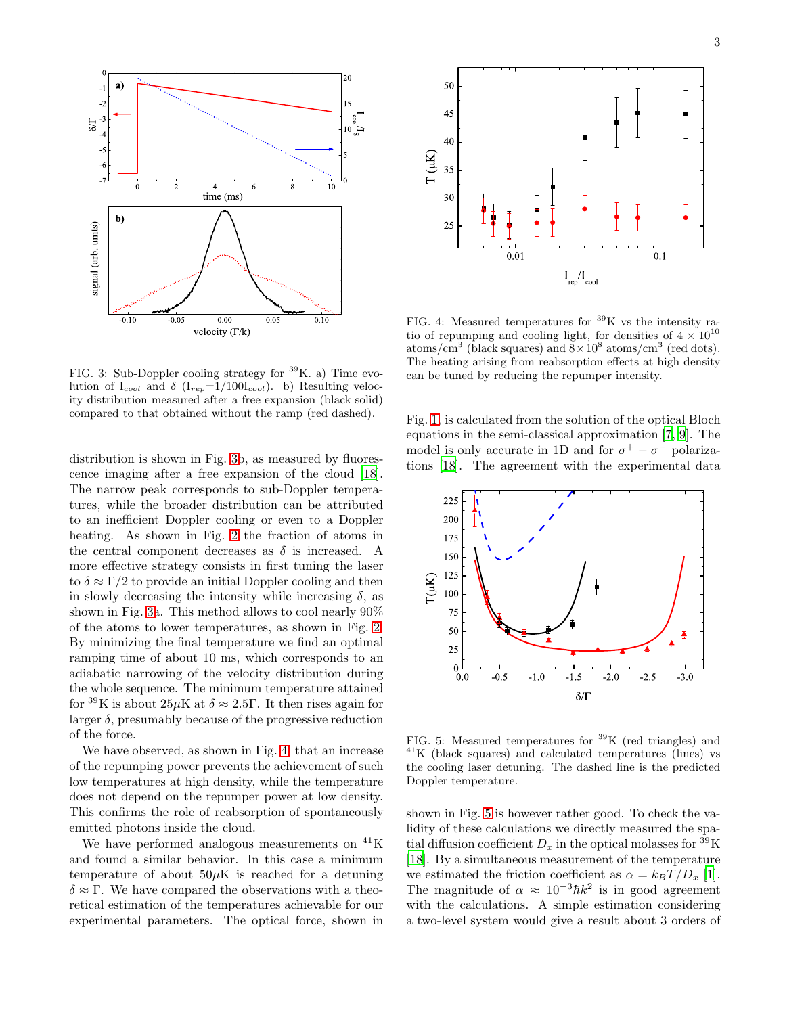

<span id="page-2-0"></span>FIG. 3: Sub-Doppler cooling strategy for <sup>39</sup>K. a) Time evolution of  $I_{cool}$  and  $\delta$  ( $I_{rep}=1/100I_{cool}$ ). b) Resulting velocity distribution measured after a free expansion (black solid) compared to that obtained without the ramp (red dashed).

distribution is shown in Fig. [3b](#page-2-0), as measured by fluorescence imaging after a free expansion of the cloud [\[18\]](#page-3-12). The narrow peak corresponds to sub-Doppler temperatures, while the broader distribution can be attributed to an inefficient Doppler cooling or even to a Doppler heating. As shown in Fig. [2](#page-1-0) the fraction of atoms in the central component decreases as  $\delta$  is increased. A more effective strategy consists in first tuning the laser to  $\delta \approx \Gamma/2$  to provide an initial Doppler cooling and then in slowly decreasing the intensity while increasing  $\delta$ , as shown in Fig. [3a](#page-2-0). This method allows to cool nearly 90% of the atoms to lower temperatures, as shown in Fig. [2.](#page-1-0) By minimizing the final temperature we find an optimal ramping time of about 10 ms, which corresponds to an adiabatic narrowing of the velocity distribution during the whole sequence. The minimum temperature attained for <sup>39</sup>K is about  $25\mu$ K at  $\delta \approx 2.5\Gamma$ . It then rises again for larger  $\delta$ , presumably because of the progressive reduction of the force.

We have observed, as shown in Fig. [4,](#page-2-1) that an increase of the repumping power prevents the achievement of such low temperatures at high density, while the temperature does not depend on the repumper power at low density. This confirms the role of reabsorption of spontaneously emitted photons inside the cloud.

We have performed analogous measurements on  ${}^{41}\text{K}$ and found a similar behavior. In this case a minimum temperature of about  $50\mu$ K is reached for a detuning  $\delta \approx \Gamma$ . We have compared the observations with a theoretical estimation of the temperatures achievable for our experimental parameters. The optical force, shown in



<span id="page-2-1"></span>FIG. 4: Measured temperatures for  ${}^{39}$ K vs the intensity ratio of repumping and cooling light, for densities of  $4 \times 10^{10}$ atoms/cm<sup>3</sup> (black squares) and  $8 \times 10^8$  atoms/cm<sup>3</sup> (red dots). The heating arising from reabsorption effects at high density can be tuned by reducing the repumper intensity.

Fig. [1,](#page-0-0) is calculated from the solution of the optical Bloch equations in the semi-classical approximation [\[7](#page-3-6), [9](#page-3-11)]. The model is only accurate in 1D and for  $\sigma^+ - \sigma^-$  polarizations [\[18](#page-3-12)]. The agreement with the experimental data



<span id="page-2-2"></span>FIG. 5: Measured temperatures for <sup>39</sup>K (red triangles) and <sup>41</sup>K (black squares) and calculated temperatures (lines) vs the cooling laser detuning. The dashed line is the predicted Doppler temperature.

shown in Fig. [5](#page-2-2) is however rather good. To check the validity of these calculations we directly measured the spatial diffusion coefficient  $D_x$  in the optical molasses for <sup>39</sup>K [\[18\]](#page-3-12). By a simultaneous measurement of the temperature we estimated the friction coefficient as  $\alpha = k_BT/D_x$  [\[1\]](#page-6-3). The magnitude of  $\alpha \approx 10^{-3} \hbar k^2$  is in good agreement with the calculations. A simple estimation considering a two-level system would give a result about 3 orders of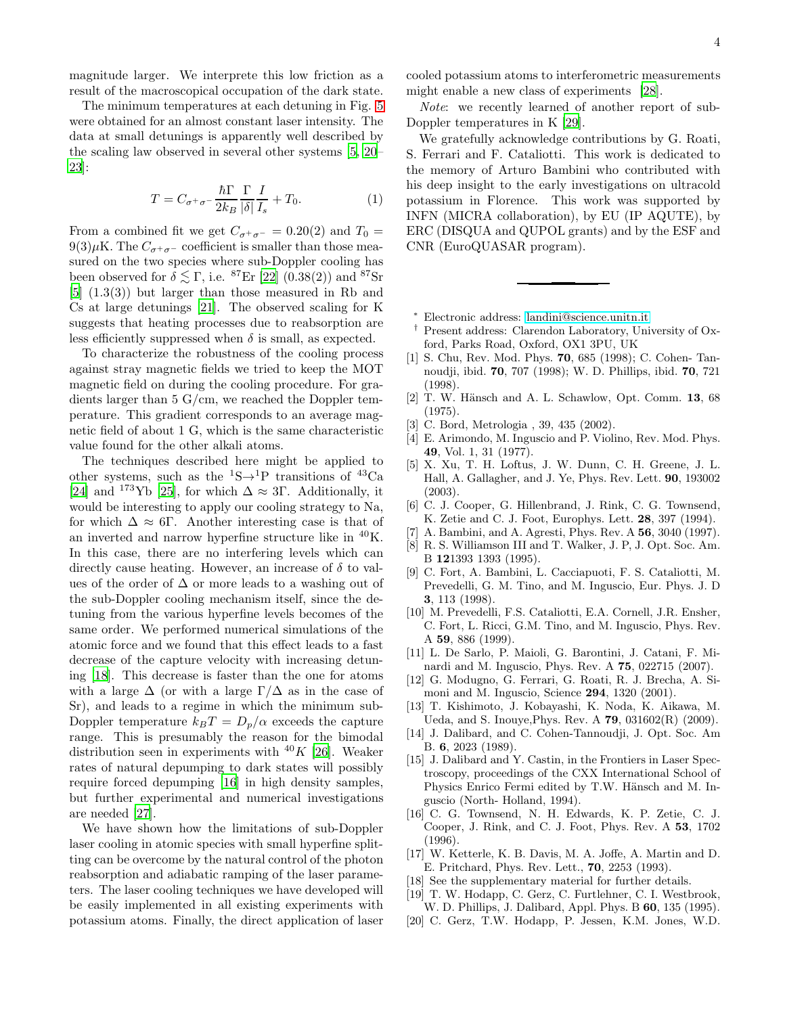magnitude larger. We interprete this low friction as a result of the macroscopical occupation of the dark state.

The minimum temperatures at each detuning in Fig. [5](#page-2-2) were obtained for an almost constant laser intensity. The data at small detunings is apparently well described by the scaling law observed in several other systems [\[5](#page-3-4), [20](#page-3-13)– [23\]](#page-4-0):

$$
T = C_{\sigma^+\sigma^-} \frac{\hbar \Gamma}{2k_B} \frac{\Gamma}{|\delta|} \frac{I}{I_s} + T_0.
$$
 (1)

From a combined fit we get  $C_{\sigma^+\sigma^-} = 0.20(2)$  and  $T_0 =$  $9(3)\mu$ K. The  $C_{\sigma^+\sigma^-}$  coefficient is smaller than those measured on the two species where sub-Doppler cooling has been observed for  $\delta \lesssim \Gamma$ , i.e. <sup>87</sup>Er [\[22](#page-4-1)] (0.38(2)) and <sup>87</sup>Sr  $[5]$   $(1.3(3))$  but larger than those measured in Rb and Cs at large detunings [\[21](#page-4-2)]. The observed scaling for K suggests that heating processes due to reabsorption are less efficiently suppressed when  $\delta$  is small, as expected.

To characterize the robustness of the cooling process against stray magnetic fields we tried to keep the MOT magnetic field on during the cooling procedure. For gradients larger than 5 G/cm, we reached the Doppler temperature. This gradient corresponds to an average magnetic field of about 1 G, which is the same characteristic value found for the other alkali atoms.

The techniques described here might be applied to other systems, such as the  ${}^{1}S\rightarrow{}^{1}P$  transitions of  ${}^{43}Ca$ [\[24\]](#page-4-3) and <sup>173</sup>Yb [\[25](#page-4-4)], for which  $\Delta \approx 3\Gamma$ . Additionally, it would be interesting to apply our cooling strategy to Na, for which  $\Delta \approx 6\Gamma$ . Another interesting case is that of an inverted and narrow hyperfine structure like in  ${}^{40}$ K. In this case, there are no interfering levels which can directly cause heating. However, an increase of  $\delta$  to values of the order of  $\Delta$  or more leads to a washing out of the sub-Doppler cooling mechanism itself, since the detuning from the various hyperfine levels becomes of the same order. We performed numerical simulations of the atomic force and we found that this effect leads to a fast decrease of the capture velocity with increasing detuning [\[18\]](#page-3-12). This decrease is faster than the one for atoms with a large  $\Delta$  (or with a large  $\Gamma/\Delta$  as in the case of Sr), and leads to a regime in which the minimum sub-Doppler temperature  $k_BT = D_p/\alpha$  exceeds the capture range. This is presumably the reason for the bimodal distribution seen in experiments with  $40K$  [\[26\]](#page-4-5). Weaker rates of natural depumping to dark states will possibly require forced depumping [\[16](#page-3-10)] in high density samples, but further experimental and numerical investigations are needed [\[27\]](#page-4-6).

We have shown how the limitations of sub-Doppler laser cooling in atomic species with small hyperfine splitting can be overcome by the natural control of the photon reabsorption and adiabatic ramping of the laser parameters. The laser cooling techniques we have developed will be easily implemented in all existing experiments with potassium atoms. Finally, the direct application of laser cooled potassium atoms to interferometric measurements might enable a new class of experiments [\[28\]](#page-4-7).

Note: we recently learned of another report of sub-Doppler temperatures in K [\[29](#page-4-8)].

We gratefully acknowledge contributions by G. Roati, S. Ferrari and F. Cataliotti. This work is dedicated to the memory of Arturo Bambini who contributed with his deep insight to the early investigations on ultracold potassium in Florence. This work was supported by INFN (MICRA collaboration), by EU (IP AQUTE), by ERC (DISQUA and QUPOL grants) and by the ESF and CNR (EuroQUASAR program).

- <sup>∗</sup> Electronic address: [landini@science.unitn.it](mailto:landini@science.unitn.it)
- † Present address: Clarendon Laboratory, University of Oxford, Parks Road, Oxford, OX1 3PU, UK
- <span id="page-3-0"></span>[1] S. Chu, Rev. Mod. Phys. 70, 685 (1998); C. Cohen- Tannoudji, ibid. 70, 707 (1998); W. D. Phillips, ibid. 70, 721 (1998).
- <span id="page-3-1"></span>[2] T. W. Hänsch and A. L. Schawlow, Opt. Comm.  $13, 68$ (1975).
- <span id="page-3-2"></span>[3] C. Bord, Metrologia , 39, 435 (2002).
- <span id="page-3-3"></span>[4] E. Arimondo, M. Inguscio and P. Violino, Rev. Mod. Phys. 49, Vol. 1, 31 (1977).
- <span id="page-3-4"></span>[5] X. Xu, T. H. Loftus, J. W. Dunn, C. H. Greene, J. L. Hall, A. Gallagher, and J. Ye, Phys. Rev. Lett. 90, 193002 (2003).
- <span id="page-3-5"></span>[6] C. J. Cooper, G. Hillenbrand, J. Rink, C. G. Townsend, K. Zetie and C. J. Foot, Europhys. Lett. 28, 397 (1994).
- <span id="page-3-6"></span>[7] A. Bambini, and A. Agresti, Phys. Rev. A 56, 3040 (1997).
- <span id="page-3-7"></span>[8] R. S. Williamson III and T. Walker, J. P, J. Opt. Soc. Am. B 121393 1393 (1995).
- <span id="page-3-11"></span>[9] C. Fort, A. Bambini, L. Cacciapuoti, F. S. Cataliotti, M. Prevedelli, G. M. Tino, and M. Inguscio, Eur. Phys. J. D 3, 113 (1998).
- [10] M. Prevedelli, F.S. Cataliotti, E.A. Cornell, J.R. Ensher, C. Fort, L. Ricci, G.M. Tino, and M. Inguscio, Phys. Rev. A 59, 886 (1999).
- [11] L. De Sarlo, P. Maioli, G. Barontini, J. Catani, F. Minardi and M. Inguscio, Phys. Rev. A 75, 022715 (2007).
- [12] G. Modugno, G. Ferrari, G. Roati, R. J. Brecha, A. Simoni and M. Inguscio, Science 294, 1320 (2001).
- <span id="page-3-8"></span>[13] T. Kishimoto, J. Kobayashi, K. Noda, K. Aikawa, M. Ueda, and S. Inouye,Phys. Rev. A 79, 031602(R) (2009).
- [14] J. Dalibard, and C. Cohen-Tannoudji, J. Opt. Soc. Am B. 6, 2023 (1989).
- <span id="page-3-9"></span>[15] J. Dalibard and Y. Castin, in the Frontiers in Laser Spectroscopy, proceedings of the CXX International School of Physics Enrico Fermi edited by T.W. Hänsch and M. Inguscio (North- Holland, 1994).
- <span id="page-3-10"></span>[16] C. G. Townsend, N. H. Edwards, K. P. Zetie, C. J. Cooper, J. Rink, and C. J. Foot, Phys. Rev. A 53, 1702 (1996).
- [17] W. Ketterle, K. B. Davis, M. A. Joffe, A. Martin and D. E. Pritchard, Phys. Rev. Lett., 70, 2253 (1993).
- <span id="page-3-12"></span>[18] See the supplementary material for further details.
- [19] T. W. Hodapp, C. Gerz, C. Furtlehner, C. I. Westbrook,
- <span id="page-3-13"></span>W. D. Phillips, J. Dalibard, Appl. Phys. B 60, 135 (1995). [20] C. Gerz, T.W. Hodapp, P. Jessen, K.M. Jones, W.D.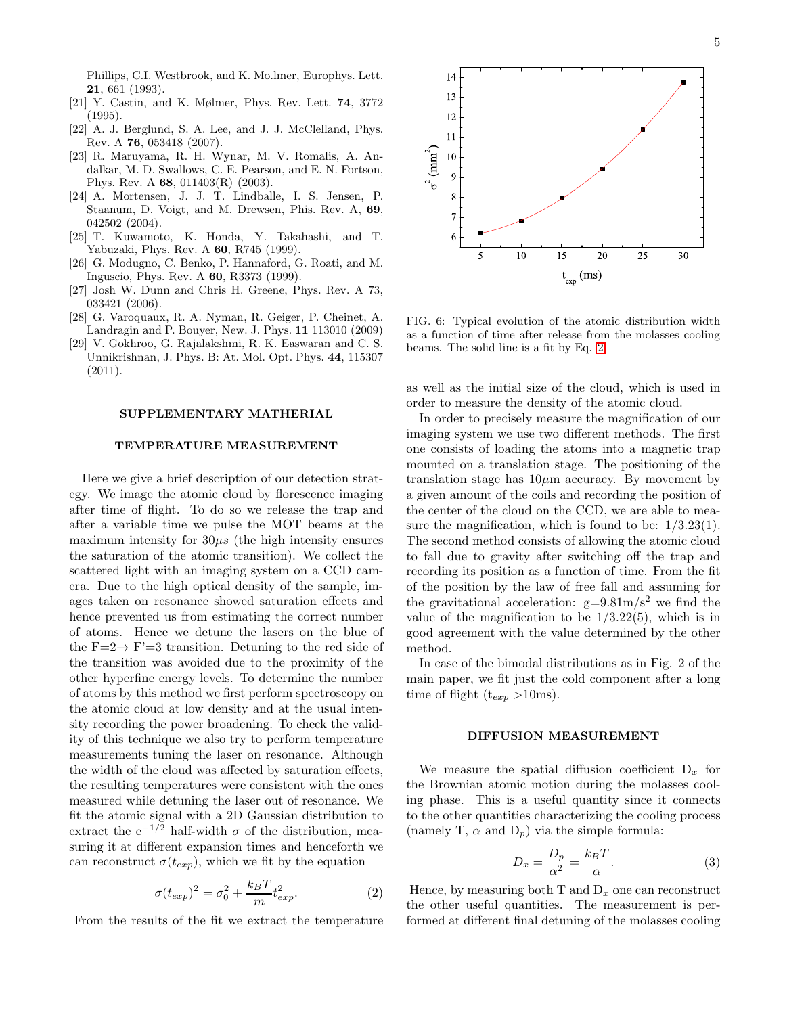Phillips, C.I. Westbrook, and K. Mo.lmer, Europhys. Lett. 21, 661 (1993).

- <span id="page-4-2"></span>[21] Y. Castin, and K. Mølmer, Phys. Rev. Lett. 74, 3772 (1995).
- <span id="page-4-1"></span>[22] A. J. Berglund, S. A. Lee, and J. J. McClelland, Phys. Rev. A 76, 053418 (2007).
- <span id="page-4-0"></span>[23] R. Maruyama, R. H. Wynar, M. V. Romalis, A. Andalkar, M. D. Swallows, C. E. Pearson, and E. N. Fortson, Phys. Rev. A 68, 011403(R) (2003).
- <span id="page-4-3"></span>[24] A. Mortensen, J. J. T. Lindballe, I. S. Jensen, P. Staanum, D. Voigt, and M. Drewsen, Phis. Rev. A, 69, 042502 (2004).
- <span id="page-4-4"></span>[25] T. Kuwamoto, K. Honda, Y. Takahashi, and T. Yabuzaki, Phys. Rev. A 60, R745 (1999).
- <span id="page-4-5"></span>[26] G. Modugno, C. Benko, P. Hannaford, G. Roati, and M. Inguscio, Phys. Rev. A 60, R3373 (1999).
- <span id="page-4-6"></span>[27] Josh W. Dunn and Chris H. Greene, Phys. Rev. A 73, 033421 (2006).
- <span id="page-4-7"></span>[28] G. Varoquaux, R. A. Nyman, R. Geiger, P. Cheinet, A. Landragin and P. Bouyer, New. J. Phys. 11 113010 (2009)
- <span id="page-4-8"></span>[29] V. Gokhroo, G. Rajalakshmi, R. K. Easwaran and C. S. Unnikrishnan, J. Phys. B: At. Mol. Opt. Phys. 44, 115307 (2011).

### SUPPLEMENTARY MATHERIAL

#### TEMPERATURE MEASUREMENT

Here we give a brief description of our detection strategy. We image the atomic cloud by florescence imaging after time of flight. To do so we release the trap and after a variable time we pulse the MOT beams at the maximum intensity for  $30\mu s$  (the high intensity ensures the saturation of the atomic transition). We collect the scattered light with an imaging system on a CCD camera. Due to the high optical density of the sample, images taken on resonance showed saturation effects and hence prevented us from estimating the correct number of atoms. Hence we detune the lasers on the blue of the  $F=2 \rightarrow F'=3$  transition. Detuning to the red side of the transition was avoided due to the proximity of the other hyperfine energy levels. To determine the number of atoms by this method we first perform spectroscopy on the atomic cloud at low density and at the usual intensity recording the power broadening. To check the validity of this technique we also try to perform temperature measurements tuning the laser on resonance. Although the width of the cloud was affected by saturation effects, the resulting temperatures were consistent with the ones measured while detuning the laser out of resonance. We fit the atomic signal with a 2D Gaussian distribution to extract the e<sup>-1/2</sup> half-width  $\sigma$  of the distribution, measuring it at different expansion times and henceforth we can reconstruct  $\sigma(t_{exp})$ , which we fit by the equation

<span id="page-4-9"></span>
$$
\sigma(t_{exp})^2 = \sigma_0^2 + \frac{k_B T}{m} t_{exp}^2.
$$
 (2)

From the results of the fit we extract the temperature



FIG. 6: Typical evolution of the atomic distribution width as a function of time after release from the molasses cooling beams. The solid line is a fit by Eq. [2.](#page-4-9)

as well as the initial size of the cloud, which is used in order to measure the density of the atomic cloud.

In order to precisely measure the magnification of our imaging system we use two different methods. The first one consists of loading the atoms into a magnetic trap mounted on a translation stage. The positioning of the translation stage has  $10\mu$ m accuracy. By movement by a given amount of the coils and recording the position of the center of the cloud on the CCD, we are able to measure the magnification, which is found to be:  $1/3.23(1)$ . The second method consists of allowing the atomic cloud to fall due to gravity after switching off the trap and recording its position as a function of time. From the fit of the position by the law of free fall and assuming for the gravitational acceleration:  $g=9.81 \text{m/s}^2$  we find the value of the magnification to be  $1/3.22(5)$ , which is in good agreement with the value determined by the other method.

In case of the bimodal distributions as in Fig. 2 of the main paper, we fit just the cold component after a long time of flight  $(t_{exp} > 10 \text{ms}).$ 

#### DIFFUSION MEASUREMENT

We measure the spatial diffusion coefficient  $D_x$  for the Brownian atomic motion during the molasses cooling phase. This is a useful quantity since it connects to the other quantities characterizing the cooling process (namely T,  $\alpha$  and  $D_p$ ) via the simple formula:

<span id="page-4-10"></span>
$$
D_x = \frac{D_p}{\alpha^2} = \frac{k_B T}{\alpha}.
$$
 (3)

Hence, by measuring both  $T$  and  $D_x$  one can reconstruct the other useful quantities. The measurement is performed at different final detuning of the molasses cooling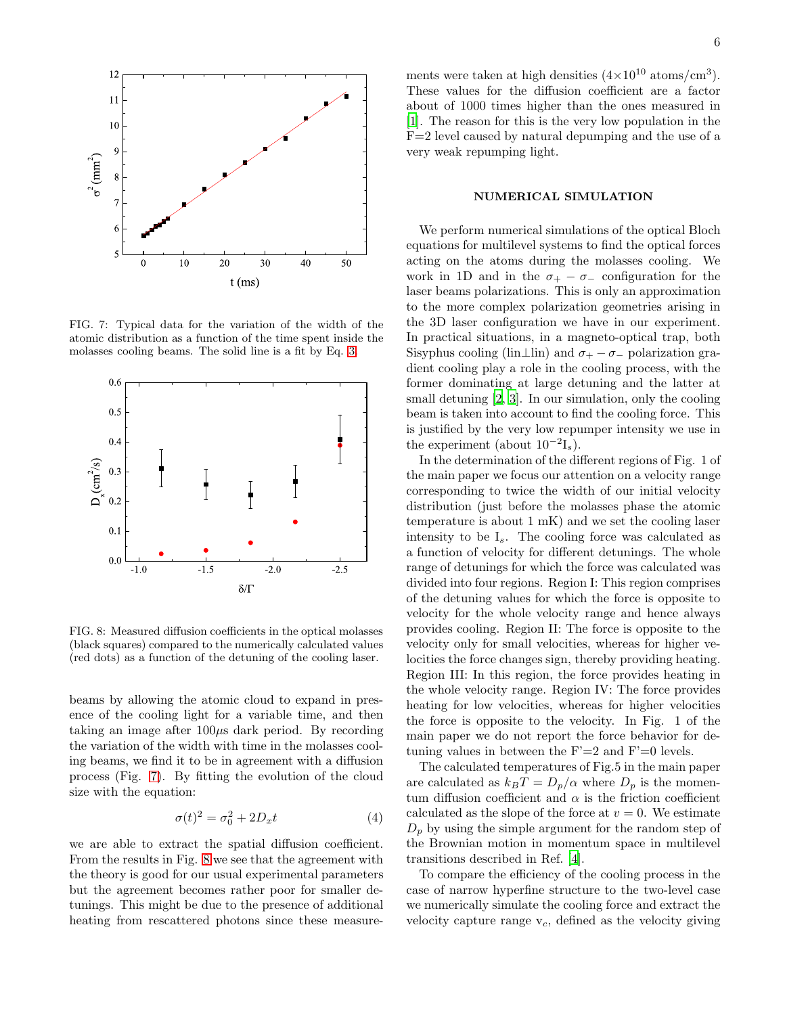![](_page_5_Figure_0.jpeg)

<span id="page-5-0"></span>FIG. 7: Typical data for the variation of the width of the atomic distribution as a function of the time spent inside the molasses cooling beams. The solid line is a fit by Eq. [3.](#page-4-10)

![](_page_5_Figure_2.jpeg)

<span id="page-5-1"></span>FIG. 8: Measured diffusion coefficients in the optical molasses (black squares) compared to the numerically calculated values (red dots) as a function of the detuning of the cooling laser.

beams by allowing the atomic cloud to expand in presence of the cooling light for a variable time, and then taking an image after  $100\mu s$  dark period. By recording the variation of the width with time in the molasses cooling beams, we find it to be in agreement with a diffusion process (Fig. [7\)](#page-5-0). By fitting the evolution of the cloud size with the equation:

$$
\sigma(t)^2 = \sigma_0^2 + 2D_x t \tag{4}
$$

we are able to extract the spatial diffusion coefficient. From the results in Fig. [8](#page-5-1) we see that the agreement with the theory is good for our usual experimental parameters but the agreement becomes rather poor for smaller detunings. This might be due to the presence of additional heating from rescattered photons since these measure-

ments were taken at high densities  $(4 \times 10^{10} \text{ atoms/cm}^3)$ . These values for the diffusion coefficient are a factor about of 1000 times higher than the ones measured in [\[1\]](#page-6-3). The reason for this is the very low population in the F=2 level caused by natural depumping and the use of a very weak repumping light.

## NUMERICAL SIMULATION

We perform numerical simulations of the optical Bloch equations for multilevel systems to find the optical forces acting on the atoms during the molasses cooling. We work in 1D and in the  $\sigma_{+} - \sigma_{-}$  configuration for the laser beams polarizations. This is only an approximation to the more complex polarization geometries arising in the 3D laser configuration we have in our experiment. In practical situations, in a magneto-optical trap, both Sisyphus cooling (lin⊥lin) and  $\sigma_+ - \sigma_-$  polarization gradient cooling play a role in the cooling process, with the former dominating at large detuning and the latter at small detuning [\[2,](#page-6-2) [3\]](#page-6-4). In our simulation, only the cooling beam is taken into account to find the cooling force. This is justified by the very low repumper intensity we use in the experiment (about  $10^{-2}I_s$ ).

In the determination of the different regions of Fig. 1 of the main paper we focus our attention on a velocity range corresponding to twice the width of our initial velocity distribution (just before the molasses phase the atomic temperature is about 1 mK) and we set the cooling laser intensity to be  $I_s$ . The cooling force was calculated as a function of velocity for different detunings. The whole range of detunings for which the force was calculated was divided into four regions. Region I: This region comprises of the detuning values for which the force is opposite to velocity for the whole velocity range and hence always provides cooling. Region II: The force is opposite to the velocity only for small velocities, whereas for higher velocities the force changes sign, thereby providing heating. Region III: In this region, the force provides heating in the whole velocity range. Region IV: The force provides heating for low velocities, whereas for higher velocities the force is opposite to the velocity. In Fig. 1 of the main paper we do not report the force behavior for detuning values in between the  $F'=2$  and  $F'=0$  levels.

The calculated temperatures of Fig.5 in the main paper are calculated as  $k_BT = D_p/\alpha$  where  $D_p$  is the momentum diffusion coefficient and  $\alpha$  is the friction coefficient calculated as the slope of the force at  $v = 0$ . We estimate  $D_p$  by using the simple argument for the random step of the Brownian motion in momentum space in multilevel transitions described in Ref. [\[4\]](#page-6-5).

To compare the efficiency of the cooling process in the case of narrow hyperfine structure to the two-level case we numerically simulate the cooling force and extract the velocity capture range  $v_c$ , defined as the velocity giving